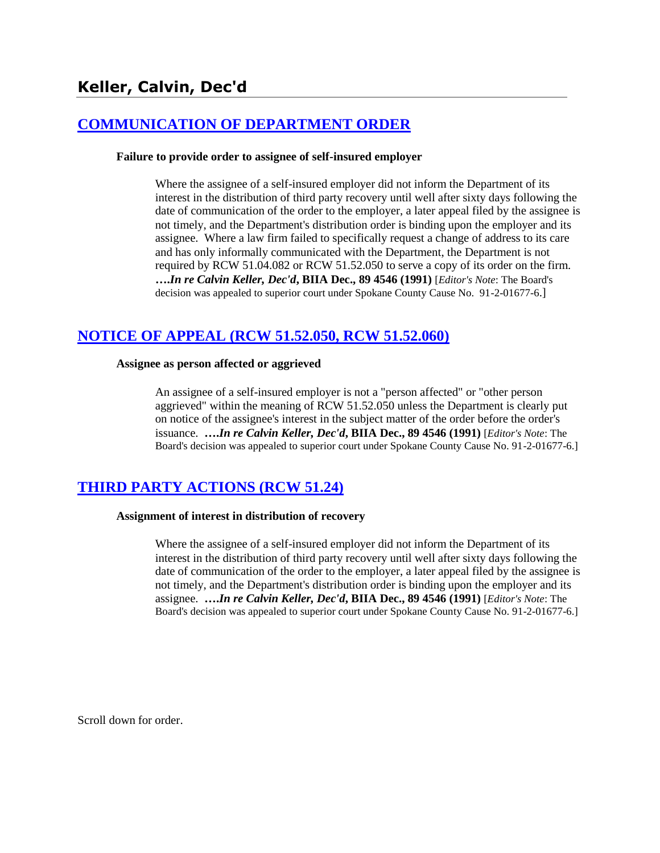# **[COMMUNICATION OF DEPARTMENT ORDER](http://www.biia.wa.gov/SDSubjectIndex.html#COMMUNICATION_OF_DEPARTMENT_ORDER)**

#### **Failure to provide order to assignee of self-insured employer**

Where the assignee of a self-insured employer did not inform the Department of its interest in the distribution of third party recovery until well after sixty days following the date of communication of the order to the employer, a later appeal filed by the assignee is not timely, and the Department's distribution order is binding upon the employer and its assignee. Where a law firm failed to specifically request a change of address to its care and has only informally communicated with the Department, the Department is not required by RCW 51.04.082 or RCW 51.52.050 to serve a copy of its order on the firm. **….***In re Calvin Keller, Dec'd***, BIIA Dec., 89 4546 (1991)** [*Editor's Note*: The Board's decision was appealed to superior court under Spokane County Cause No. 91-2-01677-6.]

# **[NOTICE OF APPEAL \(RCW 51.52.050, RCW 51.52.060\)](http://www.biia.wa.gov/SDSubjectIndex.html#NOTICE_OF_APPEAL)**

#### **Assignee as person affected or aggrieved**

An assignee of a self-insured employer is not a "person affected" or "other person aggrieved" within the meaning of RCW 51.52.050 unless the Department is clearly put on notice of the assignee's interest in the subject matter of the order before the order's issuance. **….***In re Calvin Keller, Dec'd***, BIIA Dec., 89 4546 (1991)** [*Editor's Note*: The Board's decision was appealed to superior court under Spokane County Cause No. 91-2-01677-6.]

# **[THIRD PARTY ACTIONS \(RCW 51.24\)](http://www.biia.wa.gov/SDSubjectIndex.html#THIRD_PARTY_ACTIONS)**

#### **Assignment of interest in distribution of recovery**

Where the assignee of a self-insured employer did not inform the Department of its interest in the distribution of third party recovery until well after sixty days following the date of communication of the order to the employer, a later appeal filed by the assignee is not timely, and the Department's distribution order is binding upon the employer and its assignee. **….***In re Calvin Keller, Dec'd***, BIIA Dec., 89 4546 (1991)** [*Editor's Note*: The Board's decision was appealed to superior court under Spokane County Cause No. 91-2-01677-6.]

Scroll down for order.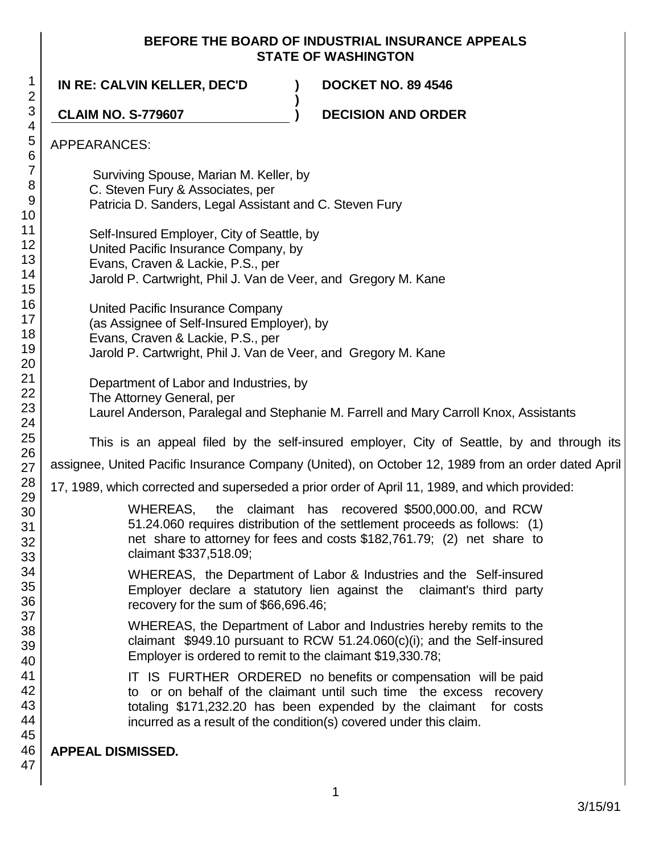## **BEFORE THE BOARD OF INDUSTRIAL INSURANCE APPEALS STATE OF WASHINGTON**

1 2 3 4 5 6 7 8 9 10 11 12 13 14 15 16 17 18 19 20 21 22 23 24 25 26 27 28 29 30 31 32 33 34 35 36 37 38 39 40 41 42 43 44 45 46 47 **IN RE: CALVIN KELLER, DEC'D ) DOCKET NO. 89 4546 ) CLAIM NO. S-779607 ) DECISION AND ORDER** APPEARANCES: Surviving Spouse, Marian M. Keller, by C. Steven Fury & Associates, per Patricia D. Sanders, Legal Assistant and C. Steven Fury Self-Insured Employer, City of Seattle, by United Pacific Insurance Company, by Evans, Craven & Lackie, P.S., per Jarold P. Cartwright, Phil J. Van de Veer, and Gregory M. Kane United Pacific Insurance Company (as Assignee of Self-Insured Employer), by Evans, Craven & Lackie, P.S., per Jarold P. Cartwright, Phil J. Van de Veer, and Gregory M. Kane Department of Labor and Industries, by The Attorney General, per Laurel Anderson, Paralegal and Stephanie M. Farrell and Mary Carroll Knox, Assistants This is an appeal filed by the self-insured employer, City of Seattle, by and through its assignee, United Pacific Insurance Company (United), on October 12, 1989 from an order dated April 17, 1989, which corrected and superseded a prior order of April 11, 1989, and which provided: WHEREAS, the claimant has recovered \$500,000.00, and RCW 51.24.060 requires distribution of the settlement proceeds as follows: (1) net share to attorney for fees and costs \$182,761.79; (2) net share to claimant \$337,518.09; WHEREAS, the Department of Labor & Industries and the Self-insured Employer declare a statutory lien against the claimant's third party recovery for the sum of \$66,696.46; WHEREAS, the Department of Labor and Industries hereby remits to the claimant \$949.10 pursuant to RCW 51.24.060(c)(i); and the Self-insured Employer is ordered to remit to the claimant \$19,330.78; IT IS FURTHER ORDERED no benefits or compensation will be paid to or on behalf of the claimant until such time the excess recovery totaling \$171,232.20 has been expended by the claimant for costs incurred as a result of the condition(s) covered under this claim. **APPEAL DISMISSED.**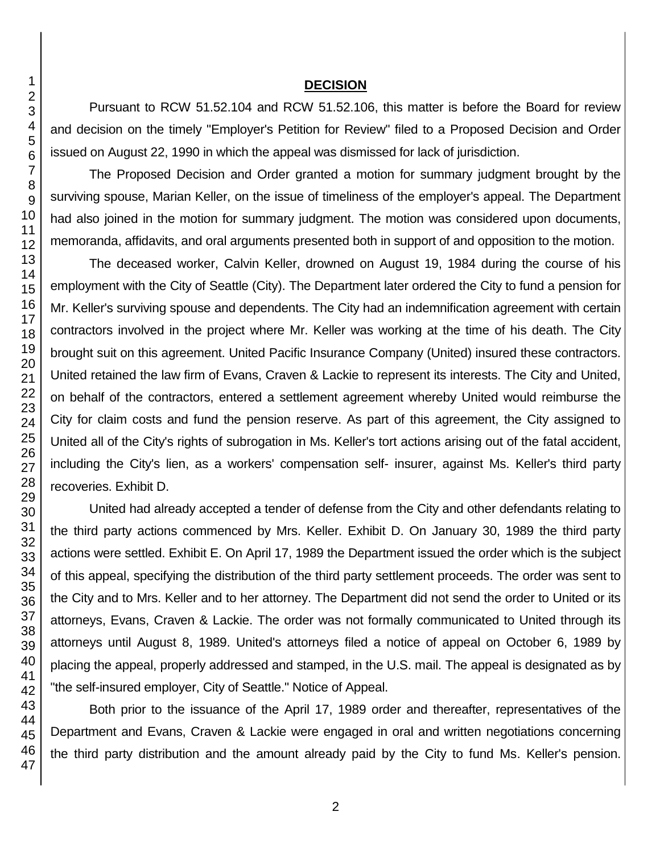### **DECISION**

Pursuant to RCW 51.52.104 and RCW 51.52.106, this matter is before the Board for review and decision on the timely "Employer's Petition for Review" filed to a Proposed Decision and Order issued on August 22, 1990 in which the appeal was dismissed for lack of jurisdiction.

The Proposed Decision and Order granted a motion for summary judgment brought by the surviving spouse, Marian Keller, on the issue of timeliness of the employer's appeal. The Department had also joined in the motion for summary judgment. The motion was considered upon documents, memoranda, affidavits, and oral arguments presented both in support of and opposition to the motion.

The deceased worker, Calvin Keller, drowned on August 19, 1984 during the course of his employment with the City of Seattle (City). The Department later ordered the City to fund a pension for Mr. Keller's surviving spouse and dependents. The City had an indemnification agreement with certain contractors involved in the project where Mr. Keller was working at the time of his death. The City brought suit on this agreement. United Pacific Insurance Company (United) insured these contractors. United retained the law firm of Evans, Craven & Lackie to represent its interests. The City and United, on behalf of the contractors, entered a settlement agreement whereby United would reimburse the City for claim costs and fund the pension reserve. As part of this agreement, the City assigned to United all of the City's rights of subrogation in Ms. Keller's tort actions arising out of the fatal accident, including the City's lien, as a workers' compensation self- insurer, against Ms. Keller's third party recoveries. Exhibit D.

United had already accepted a tender of defense from the City and other defendants relating to the third party actions commenced by Mrs. Keller. Exhibit D. On January 30, 1989 the third party actions were settled. Exhibit E. On April 17, 1989 the Department issued the order which is the subject of this appeal, specifying the distribution of the third party settlement proceeds. The order was sent to the City and to Mrs. Keller and to her attorney. The Department did not send the order to United or its attorneys, Evans, Craven & Lackie. The order was not formally communicated to United through its attorneys until August 8, 1989. United's attorneys filed a notice of appeal on October 6, 1989 by placing the appeal, properly addressed and stamped, in the U.S. mail. The appeal is designated as by "the self-insured employer, City of Seattle." Notice of Appeal.

Both prior to the issuance of the April 17, 1989 order and thereafter, representatives of the Department and Evans, Craven & Lackie were engaged in oral and written negotiations concerning the third party distribution and the amount already paid by the City to fund Ms. Keller's pension.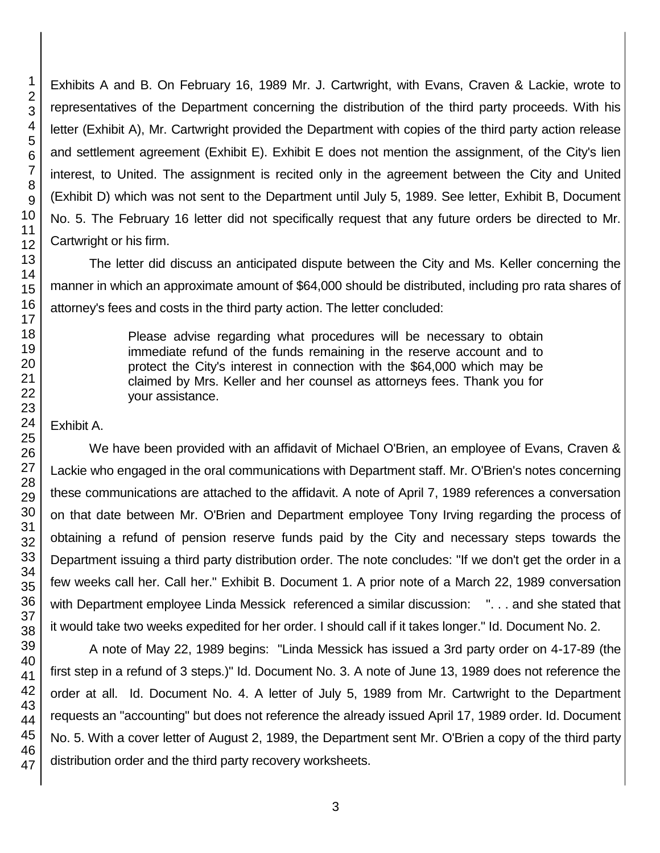Exhibits A and B. On February 16, 1989 Mr. J. Cartwright, with Evans, Craven & Lackie, wrote to representatives of the Department concerning the distribution of the third party proceeds. With his letter (Exhibit A), Mr. Cartwright provided the Department with copies of the third party action release and settlement agreement (Exhibit E). Exhibit E does not mention the assignment, of the City's lien interest, to United. The assignment is recited only in the agreement between the City and United (Exhibit D) which was not sent to the Department until July 5, 1989. See letter, Exhibit B, Document No. 5. The February 16 letter did not specifically request that any future orders be directed to Mr. Cartwright or his firm.

The letter did discuss an anticipated dispute between the City and Ms. Keller concerning the manner in which an approximate amount of \$64,000 should be distributed, including pro rata shares of attorney's fees and costs in the third party action. The letter concluded:

> Please advise regarding what procedures will be necessary to obtain immediate refund of the funds remaining in the reserve account and to protect the City's interest in connection with the \$64,000 which may be claimed by Mrs. Keller and her counsel as attorneys fees. Thank you for your assistance.

## Exhibit A.

We have been provided with an affidavit of Michael O'Brien, an employee of Evans, Craven & Lackie who engaged in the oral communications with Department staff. Mr. O'Brien's notes concerning these communications are attached to the affidavit. A note of April 7, 1989 references a conversation on that date between Mr. O'Brien and Department employee Tony Irving regarding the process of obtaining a refund of pension reserve funds paid by the City and necessary steps towards the Department issuing a third party distribution order. The note concludes: "If we don't get the order in a few weeks call her. Call her." Exhibit B. Document 1. A prior note of a March 22, 1989 conversation with Department employee Linda Messick referenced a similar discussion: "... and she stated that it would take two weeks expedited for her order. I should call if it takes longer." Id. Document No. 2.

A note of May 22, 1989 begins: "Linda Messick has issued a 3rd party order on 4-17-89 (the first step in a refund of 3 steps.)" Id. Document No. 3. A note of June 13, 1989 does not reference the order at all. Id. Document No. 4. A letter of July 5, 1989 from Mr. Cartwright to the Department requests an "accounting" but does not reference the already issued April 17, 1989 order. Id. Document No. 5. With a cover letter of August 2, 1989, the Department sent Mr. O'Brien a copy of the third party distribution order and the third party recovery worksheets.

1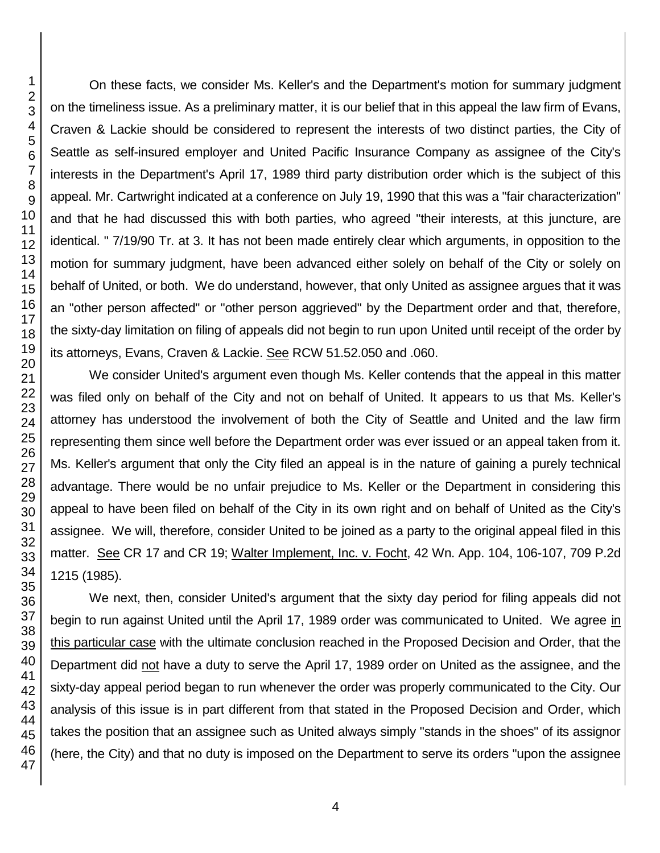On these facts, we consider Ms. Keller's and the Department's motion for summary judgment on the timeliness issue. As a preliminary matter, it is our belief that in this appeal the law firm of Evans, Craven & Lackie should be considered to represent the interests of two distinct parties, the City of Seattle as self-insured employer and United Pacific Insurance Company as assignee of the City's interests in the Department's April 17, 1989 third party distribution order which is the subject of this appeal. Mr. Cartwright indicated at a conference on July 19, 1990 that this was a "fair characterization" and that he had discussed this with both parties, who agreed "their interests, at this juncture, are identical. " 7/19/90 Tr. at 3. It has not been made entirely clear which arguments, in opposition to the motion for summary judgment, have been advanced either solely on behalf of the City or solely on behalf of United, or both. We do understand, however, that only United as assignee argues that it was an "other person affected" or "other person aggrieved" by the Department order and that, therefore, the sixty-day limitation on filing of appeals did not begin to run upon United until receipt of the order by its attorneys, Evans, Craven & Lackie. See RCW 51.52.050 and .060.

We consider United's argument even though Ms. Keller contends that the appeal in this matter was filed only on behalf of the City and not on behalf of United. It appears to us that Ms. Keller's attorney has understood the involvement of both the City of Seattle and United and the law firm representing them since well before the Department order was ever issued or an appeal taken from it. Ms. Keller's argument that only the City filed an appeal is in the nature of gaining a purely technical advantage. There would be no unfair prejudice to Ms. Keller or the Department in considering this appeal to have been filed on behalf of the City in its own right and on behalf of United as the City's assignee. We will, therefore, consider United to be joined as a party to the original appeal filed in this matter. See CR 17 and CR 19; Walter Implement, Inc. v. Focht, 42 Wn. App. 104, 106-107, 709 P.2d 1215 (1985).

We next, then, consider United's argument that the sixty day period for filing appeals did not begin to run against United until the April 17, 1989 order was communicated to United. We agree in this particular case with the ultimate conclusion reached in the Proposed Decision and Order, that the Department did not have a duty to serve the April 17, 1989 order on United as the assignee, and the sixty-day appeal period began to run whenever the order was properly communicated to the City. Our analysis of this issue is in part different from that stated in the Proposed Decision and Order, which takes the position that an assignee such as United always simply "stands in the shoes" of its assignor (here, the City) and that no duty is imposed on the Department to serve its orders "upon the assignee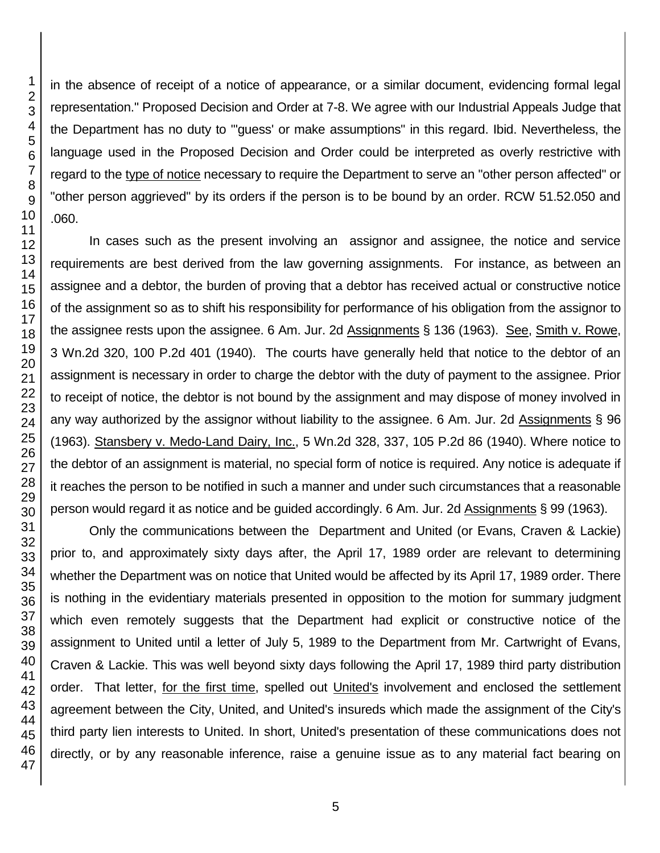representation." Proposed Decision and Order at 7-8. We agree with our Industrial Appeals Judge that the Department has no duty to "'guess' or make assumptions" in this regard. Ibid. Nevertheless, the language used in the Proposed Decision and Order could be interpreted as overly restrictive with regard to the type of notice necessary to require the Department to serve an "other person affected" or "other person aggrieved" by its orders if the person is to be bound by an order. RCW 51.52.050 and In cases such as the present involving an assignor and assignee, the notice and service requirements are best derived from the law governing assignments. For instance, as between an assignee and a debtor, the burden of proving that a debtor has received actual or constructive notice of the assignment so as to shift his responsibility for performance of his obligation from the assignor to the assignee rests upon the assignee. 6 Am. Jur. 2d Assignments § 136 (1963). See, Smith v. Rowe, 3 Wn.2d 320, 100 P.2d 401 (1940). The courts have generally held that notice to the debtor of an assignment is necessary in order to charge the debtor with the duty of payment to the assignee. Prior to receipt of notice, the debtor is not bound by the assignment and may dispose of money involved in

any way authorized by the assignor without liability to the assignee. 6 Am. Jur. 2d Assignments § 96 (1963). Stansbery v. Medo-Land Dairy, Inc., 5 Wn.2d 328, 337, 105 P.2d 86 (1940). Where notice to the debtor of an assignment is material, no special form of notice is required. Any notice is adequate if it reaches the person to be notified in such a manner and under such circumstances that a reasonable person would regard it as notice and be guided accordingly. 6 Am. Jur. 2d Assignments § 99 (1963). Only the communications between the Department and United (or Evans, Craven & Lackie)

in the absence of receipt of a notice of appearance, or a similar document, evidencing formal legal

prior to, and approximately sixty days after, the April 17, 1989 order are relevant to determining whether the Department was on notice that United would be affected by its April 17, 1989 order. There is nothing in the evidentiary materials presented in opposition to the motion for summary judgment which even remotely suggests that the Department had explicit or constructive notice of the assignment to United until a letter of July 5, 1989 to the Department from Mr. Cartwright of Evans, Craven & Lackie. This was well beyond sixty days following the April 17, 1989 third party distribution order. That letter, for the first time, spelled out United's involvement and enclosed the settlement agreement between the City, United, and United's insureds which made the assignment of the City's third party lien interests to United. In short, United's presentation of these communications does not directly, or by any reasonable inference, raise a genuine issue as to any material fact bearing on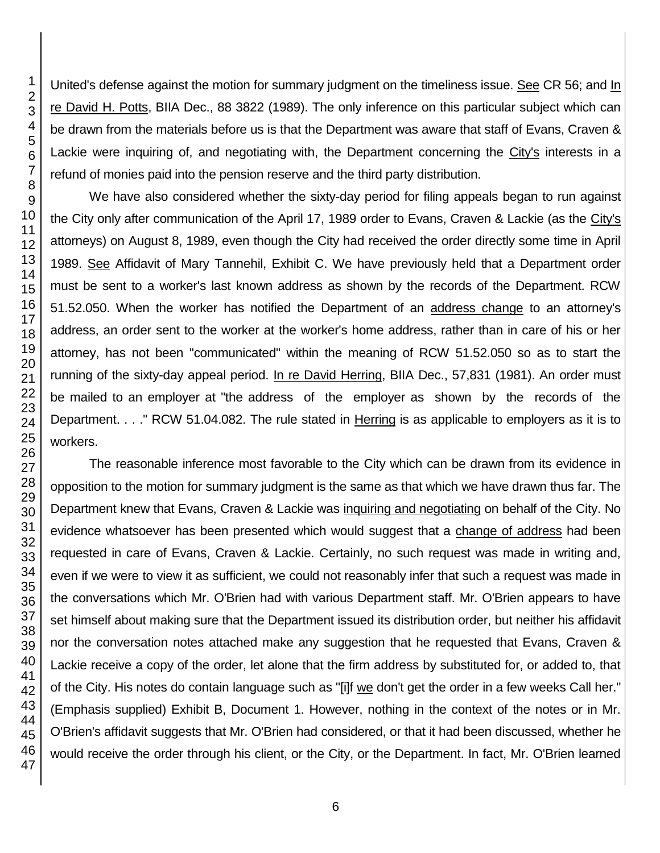United's defense against the motion for summary judgment on the timeliness issue. See CR 56; and In re David H. Potts, BIIA Dec., 88 3822 (1989). The only inference on this particular subject which can be drawn from the materials before us is that the Department was aware that staff of Evans, Craven & Lackie were inquiring of, and negotiating with, the Department concerning the City's interests in a refund of monies paid into the pension reserve and the third party distribution.

We have also considered whether the sixty-day period for filing appeals began to run against the City only after communication of the April 17, 1989 order to Evans, Craven & Lackie (as the City's attorneys) on August 8, 1989, even though the City had received the order directly some time in April 1989. See Affidavit of Mary Tannehil, Exhibit C. We have previously held that a Department order must be sent to a worker's last known address as shown by the records of the Department. RCW 51.52.050. When the worker has notified the Department of an address change to an attorney's address, an order sent to the worker at the worker's home address, rather than in care of his or her attorney, has not been "communicated" within the meaning of RCW 51.52.050 so as to start the running of the sixty-day appeal period. In re David Herring, BIIA Dec., 57,831 (1981). An order must be mailed to an employer at "the address of the employer as shown by the records of the Department. . . ." RCW 51.04.082. The rule stated in Herring is as applicable to employers as it is to workers.

The reasonable inference most favorable to the City which can be drawn from its evidence in opposition to the motion for summary judgment is the same as that which we have drawn thus far. The Department knew that Evans, Craven & Lackie was inquiring and negotiating on behalf of the City. No evidence whatsoever has been presented which would suggest that a change of address had been requested in care of Evans, Craven & Lackie. Certainly, no such request was made in writing and, even if we were to view it as sufficient, we could not reasonably infer that such a request was made in the conversations which Mr. O'Brien had with various Department staff. Mr. O'Brien appears to have set himself about making sure that the Department issued its distribution order, but neither his affidavit nor the conversation notes attached make any suggestion that he requested that Evans, Craven & Lackie receive a copy of the order, let alone that the firm address by substituted for, or added to, that of the City. His notes do contain language such as "[i]f we don't get the order in a few weeks Call her." (Emphasis supplied) Exhibit B, Document 1. However, nothing in the context of the notes or in Mr. O'Brien's affidavit suggests that Mr. O'Brien had considered, or that it had been discussed, whether he would receive the order through his client, or the City, or the Department. In fact, Mr. O'Brien learned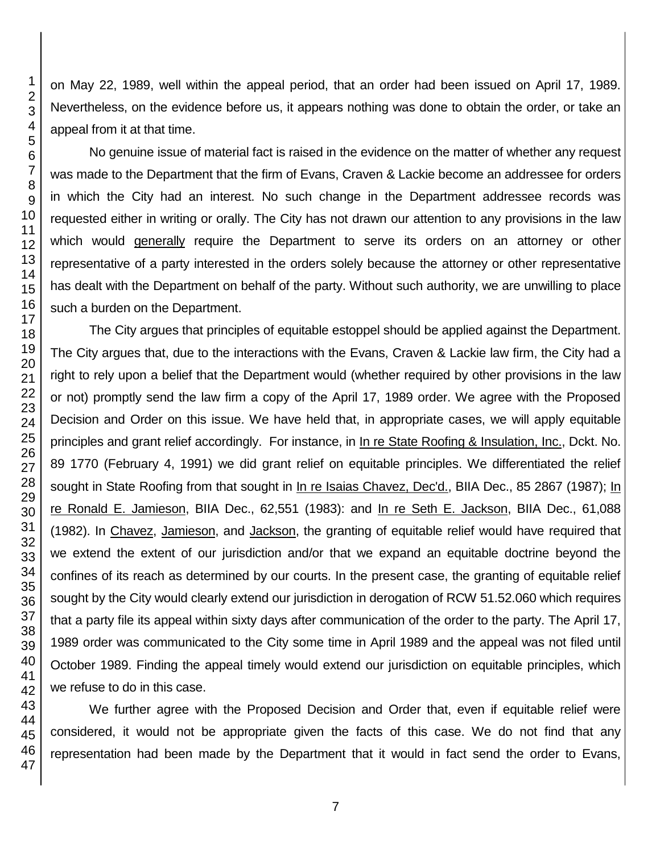on May 22, 1989, well within the appeal period, that an order had been issued on April 17, 1989. Nevertheless, on the evidence before us, it appears nothing was done to obtain the order, or take an appeal from it at that time.

No genuine issue of material fact is raised in the evidence on the matter of whether any request was made to the Department that the firm of Evans, Craven & Lackie become an addressee for orders in which the City had an interest. No such change in the Department addressee records was requested either in writing or orally. The City has not drawn our attention to any provisions in the law which would generally require the Department to serve its orders on an attorney or other representative of a party interested in the orders solely because the attorney or other representative has dealt with the Department on behalf of the party. Without such authority, we are unwilling to place such a burden on the Department.

The City argues that principles of equitable estoppel should be applied against the Department. The City argues that, due to the interactions with the Evans, Craven & Lackie law firm, the City had a right to rely upon a belief that the Department would (whether required by other provisions in the law or not) promptly send the law firm a copy of the April 17, 1989 order. We agree with the Proposed Decision and Order on this issue. We have held that, in appropriate cases, we will apply equitable principles and grant relief accordingly. For instance, in In re State Roofing & Insulation, Inc., Dckt. No. 89 1770 (February 4, 1991) we did grant relief on equitable principles. We differentiated the relief sought in State Roofing from that sought in In re Isaias Chavez, Dec'd., BIIA Dec., 85 2867 (1987); In re Ronald E. Jamieson, BIIA Dec., 62,551 (1983): and In re Seth E. Jackson, BIIA Dec., 61,088 (1982). In Chavez, Jamieson, and Jackson, the granting of equitable relief would have required that we extend the extent of our jurisdiction and/or that we expand an equitable doctrine beyond the confines of its reach as determined by our courts. In the present case, the granting of equitable relief sought by the City would clearly extend our jurisdiction in derogation of RCW 51.52.060 which requires that a party file its appeal within sixty days after communication of the order to the party. The April 17, 1989 order was communicated to the City some time in April 1989 and the appeal was not filed until October 1989. Finding the appeal timely would extend our jurisdiction on equitable principles, which we refuse to do in this case.

We further agree with the Proposed Decision and Order that, even if equitable relief were considered, it would not be appropriate given the facts of this case. We do not find that any representation had been made by the Department that it would in fact send the order to Evans,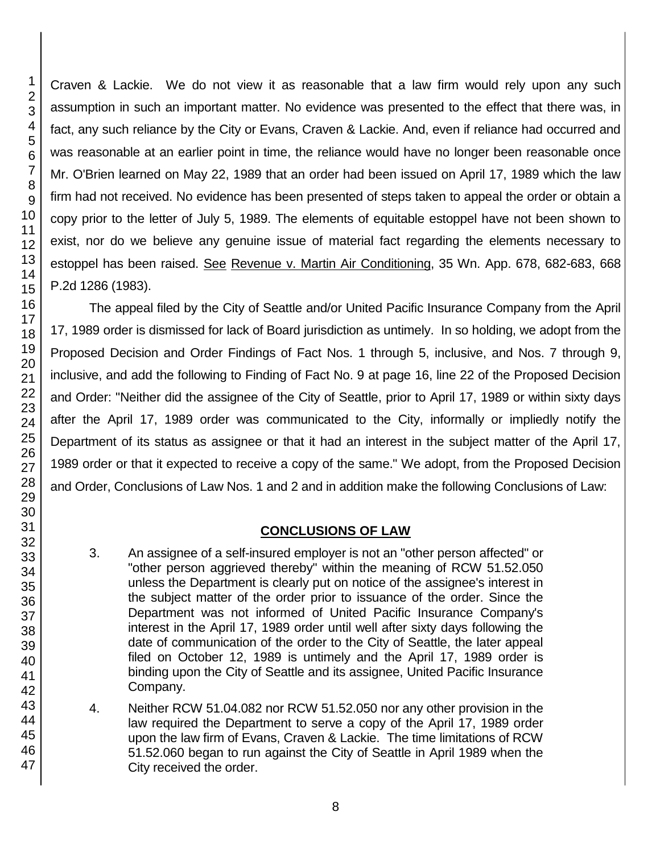45 46 47

1 2

Craven & Lackie. We do not view it as reasonable that a law firm would rely upon any such assumption in such an important matter. No evidence was presented to the effect that there was, in fact, any such reliance by the City or Evans, Craven & Lackie. And, even if reliance had occurred and was reasonable at an earlier point in time, the reliance would have no longer been reasonable once Mr. O'Brien learned on May 22, 1989 that an order had been issued on April 17, 1989 which the law firm had not received. No evidence has been presented of steps taken to appeal the order or obtain a copy prior to the letter of July 5, 1989. The elements of equitable estoppel have not been shown to exist, nor do we believe any genuine issue of material fact regarding the elements necessary to estoppel has been raised. See Revenue v. Martin Air Conditioning, 35 Wn. App. 678, 682-683, 668 P.2d 1286 (1983).

The appeal filed by the City of Seattle and/or United Pacific Insurance Company from the April 17, 1989 order is dismissed for lack of Board jurisdiction as untimely. In so holding, we adopt from the Proposed Decision and Order Findings of Fact Nos. 1 through 5, inclusive, and Nos. 7 through 9, inclusive, and add the following to Finding of Fact No. 9 at page 16, line 22 of the Proposed Decision and Order: "Neither did the assignee of the City of Seattle, prior to April 17, 1989 or within sixty days after the April 17, 1989 order was communicated to the City, informally or impliedly notify the Department of its status as assignee or that it had an interest in the subject matter of the April 17, 1989 order or that it expected to receive a copy of the same." We adopt, from the Proposed Decision and Order, Conclusions of Law Nos. 1 and 2 and in addition make the following Conclusions of Law:

# **CONCLUSIONS OF LAW**

- 3. An assignee of a self-insured employer is not an "other person affected" or "other person aggrieved thereby" within the meaning of RCW 51.52.050 unless the Department is clearly put on notice of the assignee's interest in the subject matter of the order prior to issuance of the order. Since the Department was not informed of United Pacific Insurance Company's interest in the April 17, 1989 order until well after sixty days following the date of communication of the order to the City of Seattle, the later appeal filed on October 12, 1989 is untimely and the April 17, 1989 order is binding upon the City of Seattle and its assignee, United Pacific Insurance Company.
- 4. Neither RCW 51.04.082 nor RCW 51.52.050 nor any other provision in the law required the Department to serve a copy of the April 17, 1989 order upon the law firm of Evans, Craven & Lackie. The time limitations of RCW 51.52.060 began to run against the City of Seattle in April 1989 when the City received the order.